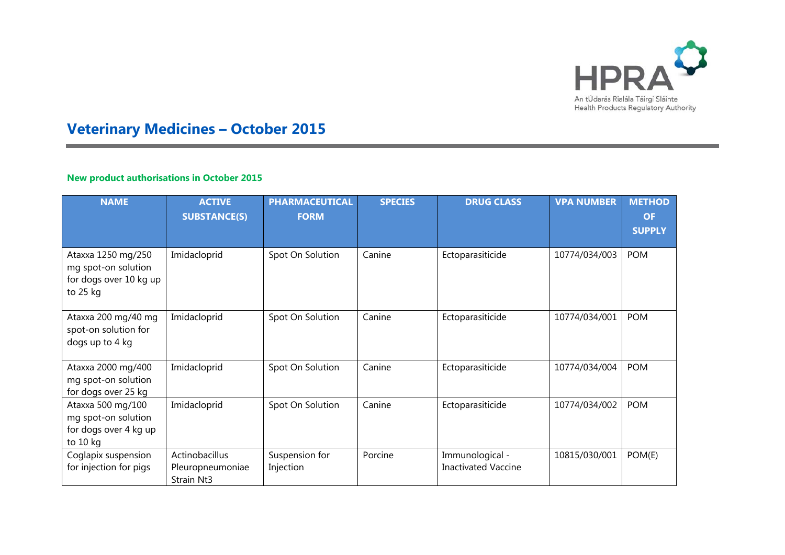

# **Veterinary Medicines – October 2015**

## **New product authorisations in October 2015**

×

| <b>NAME</b>                                                                     | <b>ACTIVE</b><br><b>SUBSTANCE(S)</b>             | <b>PHARMACEUTICAL</b><br><b>FORM</b> | <b>SPECIES</b> | <b>DRUG CLASS</b>                             | <b>VPA NUMBER</b> | <b>METHOD</b><br><b>OF</b><br><b>SUPPLY</b> |
|---------------------------------------------------------------------------------|--------------------------------------------------|--------------------------------------|----------------|-----------------------------------------------|-------------------|---------------------------------------------|
| Ataxxa 1250 mg/250<br>mg spot-on solution<br>for dogs over 10 kg up<br>to 25 kg | Imidacloprid                                     | Spot On Solution                     | Canine         | Ectoparasiticide                              | 10774/034/003     | <b>POM</b>                                  |
| Ataxxa 200 mg/40 mg<br>spot-on solution for<br>dogs up to 4 kg                  | Imidacloprid                                     | Spot On Solution                     | Canine         | Ectoparasiticide                              | 10774/034/001     | <b>POM</b>                                  |
| Ataxxa 2000 mg/400<br>mg spot-on solution<br>for dogs over 25 kg                | Imidacloprid                                     | Spot On Solution                     | Canine         | Ectoparasiticide                              | 10774/034/004     | <b>POM</b>                                  |
| Ataxxa 500 mg/100<br>mg spot-on solution<br>for dogs over 4 kg up<br>to 10 kg   | Imidacloprid                                     | Spot On Solution                     | Canine         | Ectoparasiticide                              | 10774/034/002     | <b>POM</b>                                  |
| Coglapix suspension<br>for injection for pigs                                   | Actinobacillus<br>Pleuropneumoniae<br>Strain Nt3 | Suspension for<br>Injection          | Porcine        | Immunological -<br><b>Inactivated Vaccine</b> | 10815/030/001     | POM(E)                                      |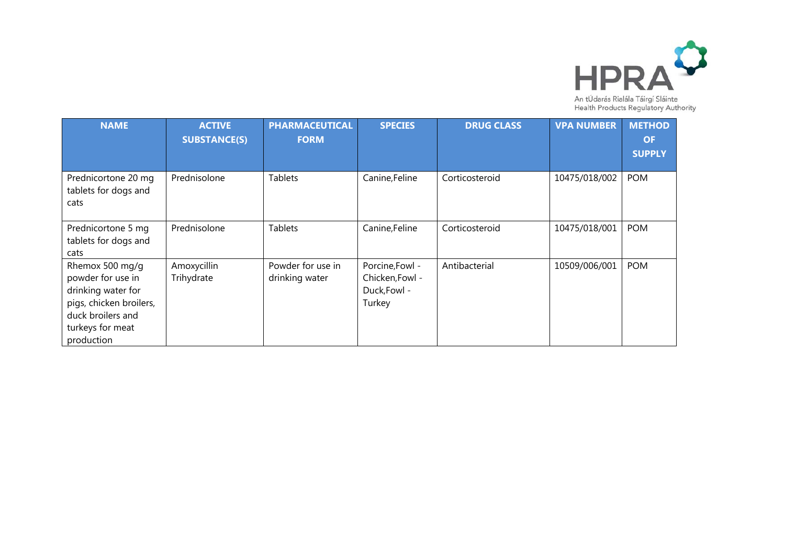

| <b>NAME</b>                                                                                                                                  | <b>ACTIVE</b><br><b>SUBSTANCE(S)</b> | <b>PHARMACEUTICAL</b><br><b>FORM</b> | <b>SPECIES</b>                                               | <b>DRUG CLASS</b> | <b>VPA NUMBER</b> | <b>METHOD</b><br><b>OF</b><br><b>SUPPLY</b> |
|----------------------------------------------------------------------------------------------------------------------------------------------|--------------------------------------|--------------------------------------|--------------------------------------------------------------|-------------------|-------------------|---------------------------------------------|
| Prednicortone 20 mg<br>tablets for dogs and<br>cats                                                                                          | Prednisolone                         | <b>Tablets</b>                       | Canine, Feline                                               | Corticosteroid    | 10475/018/002     | <b>POM</b>                                  |
| Prednicortone 5 mg<br>tablets for dogs and<br>cats                                                                                           | Prednisolone                         | <b>Tablets</b>                       | Canine, Feline                                               | Corticosteroid    | 10475/018/001     | <b>POM</b>                                  |
| Rhemox 500 mg/g<br>powder for use in<br>drinking water for<br>pigs, chicken broilers,<br>duck broilers and<br>turkeys for meat<br>production | Amoxycillin<br>Trihydrate            | Powder for use in<br>drinking water  | Porcine, Fowl -<br>Chicken, Fowl -<br>Duck, Fowl -<br>Turkey | Antibacterial     | 10509/006/001     | <b>POM</b>                                  |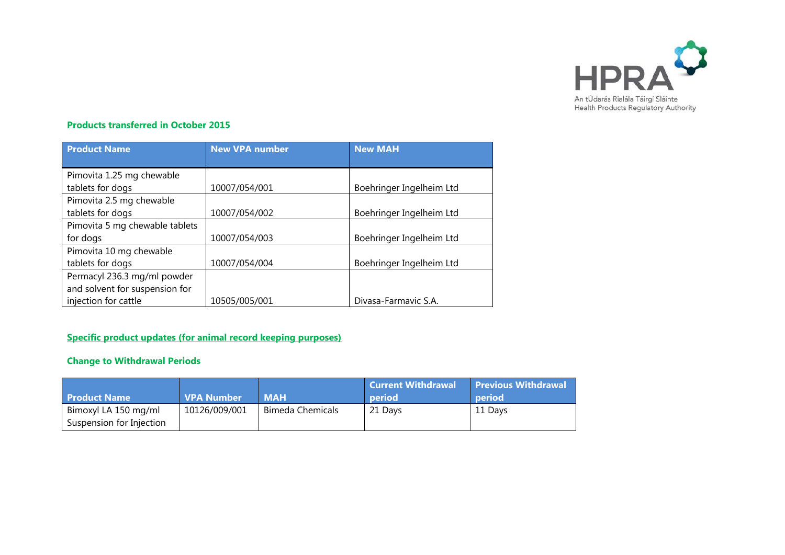

#### **Products transferred in October 2015**

| <b>Product Name</b>            | <b>New VPA number</b> | <b>New MAH</b>           |  |
|--------------------------------|-----------------------|--------------------------|--|
|                                |                       |                          |  |
| Pimovita 1.25 mg chewable      |                       |                          |  |
| tablets for dogs               | 10007/054/001         | Boehringer Ingelheim Ltd |  |
| Pimovita 2.5 mg chewable       |                       |                          |  |
| tablets for dogs               | 10007/054/002         | Boehringer Ingelheim Ltd |  |
| Pimovita 5 mg chewable tablets |                       |                          |  |
| for dogs                       | 10007/054/003         | Boehringer Ingelheim Ltd |  |
| Pimovita 10 mg chewable        |                       |                          |  |
| tablets for dogs               | 10007/054/004         | Boehringer Ingelheim Ltd |  |
| Permacyl 236.3 mg/ml powder    |                       |                          |  |
| and solvent for suspension for |                       |                          |  |
| injection for cattle           | 10505/005/001         | Divasa-Farmavic S.A.     |  |

### **Specific product updates (for animal record keeping purposes)**

## **Change to Withdrawal Periods**

| <b>Product Name</b>      | <b>VPA Number</b> | <b>MAH</b>              | Current Withdrawal  <br><b>period</b> | <b>Previous Withdrawal</b><br>period |
|--------------------------|-------------------|-------------------------|---------------------------------------|--------------------------------------|
| Bimoxyl LA 150 mg/ml     | 10126/009/001     | <b>Bimeda Chemicals</b> | 21 Days                               | 11 Days                              |
| Suspension for Injection |                   |                         |                                       |                                      |